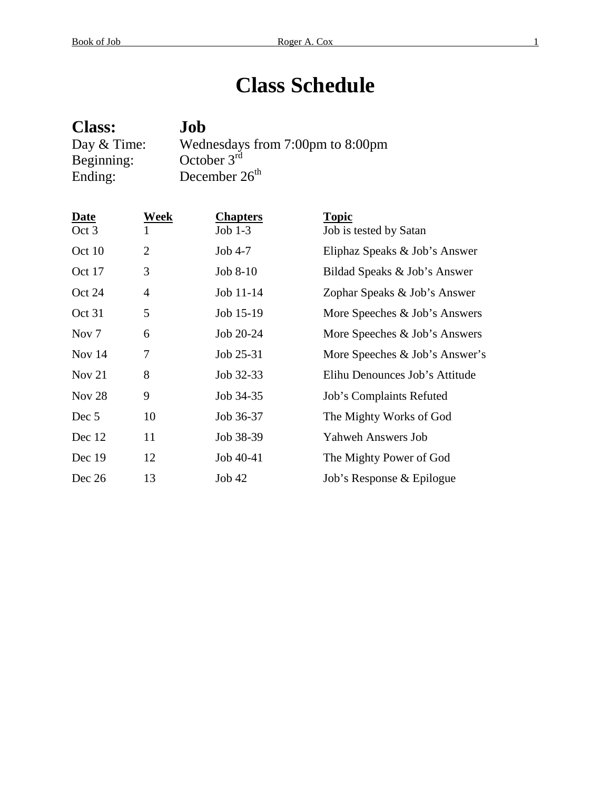# **Class Schedule**

| <b>Class:</b> | Job                              |
|---------------|----------------------------------|
| Day & Time:   | Wednesdays from 7:00pm to 8:00pm |
| Beginning:    | October $3rd$                    |
| Ending:       | December $26th$                  |

| Date              | Week           | <b>Chapters</b> | <b>Topic</b>                   |
|-------------------|----------------|-----------------|--------------------------------|
| Oct 3             |                | Job $1-3$       | Job is tested by Satan         |
| Oct 10            | $\overline{2}$ | $Job 4-7$       | Eliphaz Speaks & Job's Answer  |
| Oct 17            | 3              | $Job 8-10$      | Bildad Speaks & Job's Answer   |
| Oct 24            | 4              | Job 11-14       | Zophar Speaks & Job's Answer   |
| Oct 31            | 5              | Job 15-19       | More Speeches & Job's Answers  |
| Nov <sub>7</sub>  | 6              | Job 20-24       | More Speeches & Job's Answers  |
| Nov $14$          | 7              | Job 25-31       | More Speeches & Job's Answer's |
| Nov 21            | 8              | Job 32-33       | Elihu Denounces Job's Attitude |
| Nov <sub>28</sub> | 9              | Job 34-35       | Job's Complaints Refuted       |
| Dec 5             | 10             | Job 36-37       | The Mighty Works of God        |
| Dec 12            | 11             | Job 38-39       | <b>Yahweh Answers Job</b>      |
| Dec 19            | 12             | Job 40-41       | The Mighty Power of God        |
| Dec 26            | 13             | Job42           | Job's Response & Epilogue      |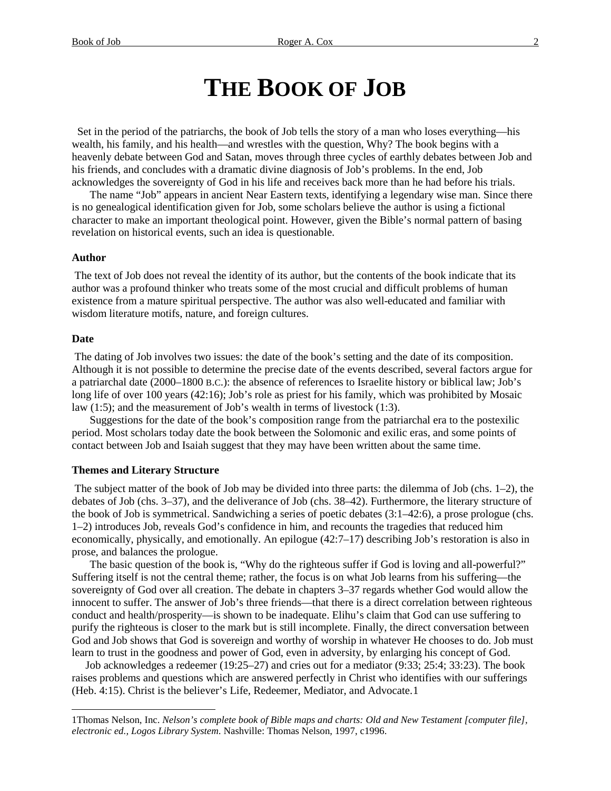# **THE BOOK OF JOB**

 Set in the period of the patriarchs, the book of Job tells the story of a man who loses everything—his wealth, his family, and his health—and wrestles with the question, Why? The book begins with a heavenly debate between God and Satan, moves through three cycles of earthly debates between Job and his friends, and concludes with a dramatic divine diagnosis of Job's problems. In the end, Job acknowledges the sovereignty of God in his life and receives back more than he had before his trials.

The name "Job" appears in ancient Near Eastern texts, identifying a legendary wise man. Since there is no genealogical identification given for Job, some scholars believe the author is using a fictional character to make an important theological point. However, given the Bible's normal pattern of basing revelation on historical events, such an idea is questionable.

#### **Author**

The text of Job does not reveal the identity of its author, but the contents of the book indicate that its author was a profound thinker who treats some of the most crucial and difficult problems of human existence from a mature spiritual perspective. The author was also well-educated and familiar with wisdom literature motifs, nature, and foreign cultures.

#### **Date**

 $\overline{a}$ 

The dating of Job involves two issues: the date of the book's setting and the date of its composition. Although it is not possible to determine the precise date of the events described, several factors argue for a patriarchal date (2000–1800 B.C.): the absence of references to Israelite history or biblical law; Job's long life of over 100 years (42:16); Job's role as priest for his family, which was prohibited by Mosaic law (1:5); and the measurement of Job's wealth in terms of livestock (1:3).

Suggestions for the date of the book's composition range from the patriarchal era to the postexilic period. Most scholars today date the book between the Solomonic and exilic eras, and some points of contact between Job and Isaiah suggest that they may have been written about the same time.

#### **Themes and Literary Structure**

The subject matter of the book of Job may be divided into three parts: the dilemma of Job (chs. 1–2), the debates of Job (chs. 3–37), and the deliverance of Job (chs. 38–42). Furthermore, the literary structure of the book of Job is symmetrical. Sandwiching a series of poetic debates (3:1–42:6), a prose prologue (chs. 1–2) introduces Job, reveals God's confidence in him, and recounts the tragedies that reduced him economically, physically, and emotionally. An epilogue (42:7–17) describing Job's restoration is also in prose, and balances the prologue.

The basic question of the book is, "Why do the righteous suffer if God is loving and all-powerful?" Suffering itself is not the central theme; rather, the focus is on what Job learns from his suffering—the sovereignty of God over all creation. The debate in chapters 3–37 regards whether God would allow the innocent to suffer. The answer of Job's three friends—that there is a direct correlation between righteous conduct and health/prosperity—is shown to be inadequate. Elihu's claim that God can use suffering to purify the righteous is closer to the mark but is still incomplete. Finally, the direct conversation between God and Job shows that God is sovereign and worthy of worship in whatever He chooses to do. Job must learn to trust in the goodness and power of God, even in adversity, by enlarging his concept of God.

 Job acknowledges a redeemer (19:25–27) and cries out for a mediator (9:33; 25:4; 33:23). The book raises problems and questions which are answered perfectly in Christ who identifies with our sufferings (Heb. 4:15). Christ is the believer's Life, Redeemer, Mediator, and Advocate.[1](#page-1-0)

<span id="page-1-0"></span><sup>1</sup>Thomas Nelson, Inc. *Nelson's complete book of Bible maps and charts: Old and New Testament [computer file], electronic ed., Logos Library System*. Nashville: Thomas Nelson, 1997, c1996.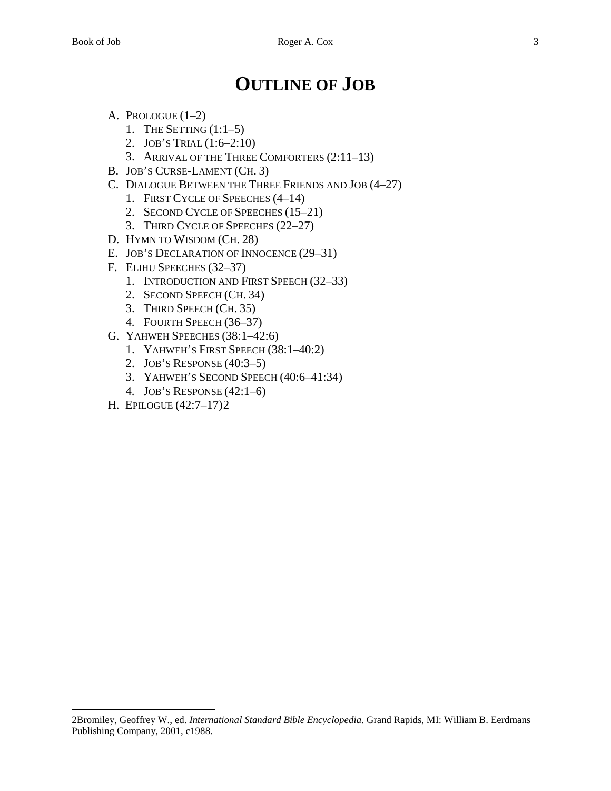# **OUTLINE OF JOB**

- A. PROLOGUE  $(1-2)$ 
	- 1. THE SETTING  $(1:1-5)$
	- 2. JOB'S TRIAL (1:6–2:10)
	- 3. ARRIVAL OF THE THREE COMFORTERS (2:11–13)
- B. JOB'S CURSE-LAMENT (CH. 3)
- C. DIALOGUE BETWEEN THE THREE FRIENDS AND JOB (4–27)
	- 1. FIRST CYCLE OF SPEECHES (4–14)
	- 2. SECOND CYCLE OF SPEECHES (15–21)
	- 3. THIRD CYCLE OF SPEECHES (22–27)
- D. HYMN TO WISDOM (CH. 28)
- E. JOB'S DECLARATION OF INNOCENCE (29–31)
- F. ELIHU SPEECHES (32–37)
	- 1. INTRODUCTION AND FIRST SPEECH (32–33)
	- 2. SECOND SPEECH (CH. 34)
	- 3. THIRD SPEECH (CH. 35)
	- 4. FOURTH SPEECH (36–37)
- G. YAHWEH SPEECHES (38:1–42:6)
	- 1. YAHWEH'S FIRST SPEECH (38:1–40:2)
	- 2. JOB'S RESPONSE (40:3–5)
	- 3. YAHWEH'S SECOND SPEECH (40:6–41:34)
	- 4. JOB'S RESPONSE (42:1–6)
- H. EPILOGUE (42:7–17)[2](#page-2-0)

 $\overline{a}$ 

<span id="page-2-0"></span><sup>2</sup>Bromiley, Geoffrey W., ed. *International Standard Bible Encyclopedia*. Grand Rapids, MI: William B. Eerdmans Publishing Company, 2001, c1988.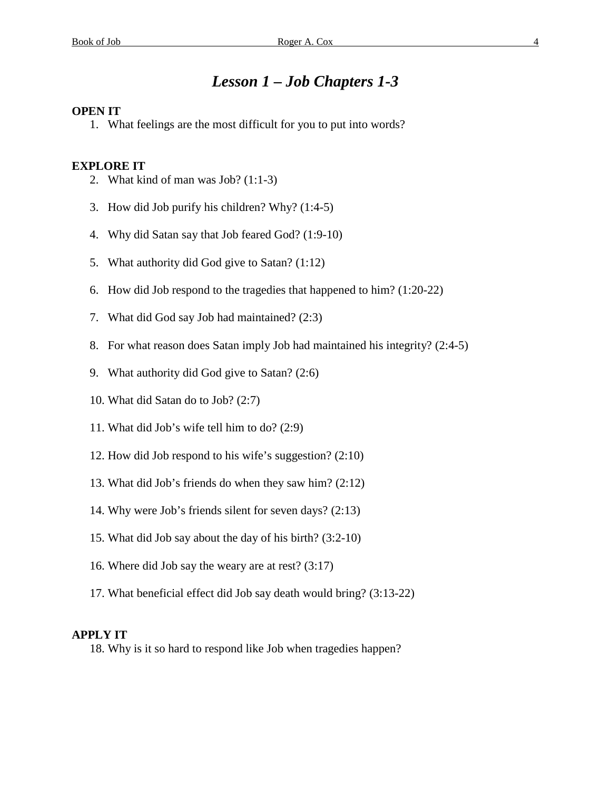## *Lesson 1 – Job Chapters 1-3*

#### **OPEN IT**

1. What feelings are the most difficult for you to put into words?

#### **EXPLORE IT**

- 2. What kind of man was  $Job?$  (1:1-3)
- 3. How did Job purify his children? Why? (1:4-5)
- 4. Why did Satan say that Job feared God? (1:9-10)
- 5. What authority did God give to Satan? (1:12)
- 6. How did Job respond to the tragedies that happened to him? (1:20-22)
- 7. What did God say Job had maintained? (2:3)
- 8. For what reason does Satan imply Job had maintained his integrity? (2:4-5)
- 9. What authority did God give to Satan? (2:6)
- 10. What did Satan do to Job? (2:7)
- 11. What did Job's wife tell him to do? (2:9)
- 12. How did Job respond to his wife's suggestion? (2:10)
- 13. What did Job's friends do when they saw him? (2:12)
- 14. Why were Job's friends silent for seven days? (2:13)
- 15. What did Job say about the day of his birth? (3:2-10)
- 16. Where did Job say the weary are at rest? (3:17)
- 17. What beneficial effect did Job say death would bring? (3:13-22)

#### **APPLY IT**

18. Why is it so hard to respond like Job when tragedies happen?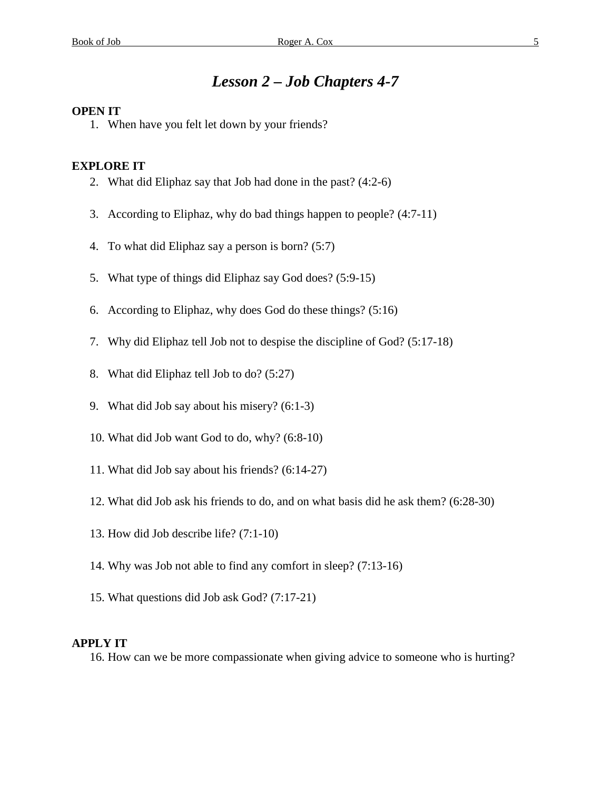# *Lesson 2 – Job Chapters 4-7*

#### **OPEN IT**

1. When have you felt let down by your friends?

#### **EXPLORE IT**

- 2. What did Eliphaz say that Job had done in the past? (4:2-6)
- 3. According to Eliphaz, why do bad things happen to people? (4:7-11)
- 4. To what did Eliphaz say a person is born? (5:7)
- 5. What type of things did Eliphaz say God does? (5:9-15)
- 6. According to Eliphaz, why does God do these things? (5:16)
- 7. Why did Eliphaz tell Job not to despise the discipline of God? (5:17-18)
- 8. What did Eliphaz tell Job to do? (5:27)
- 9. What did Job say about his misery? (6:1-3)
- 10. What did Job want God to do, why? (6:8-10)
- 11. What did Job say about his friends? (6:14-27)
- 12. What did Job ask his friends to do, and on what basis did he ask them? (6:28-30)
- 13. How did Job describe life? (7:1-10)
- 14. Why was Job not able to find any comfort in sleep? (7:13-16)
- 15. What questions did Job ask God? (7:17-21)

#### **APPLY IT**

16. How can we be more compassionate when giving advice to someone who is hurting?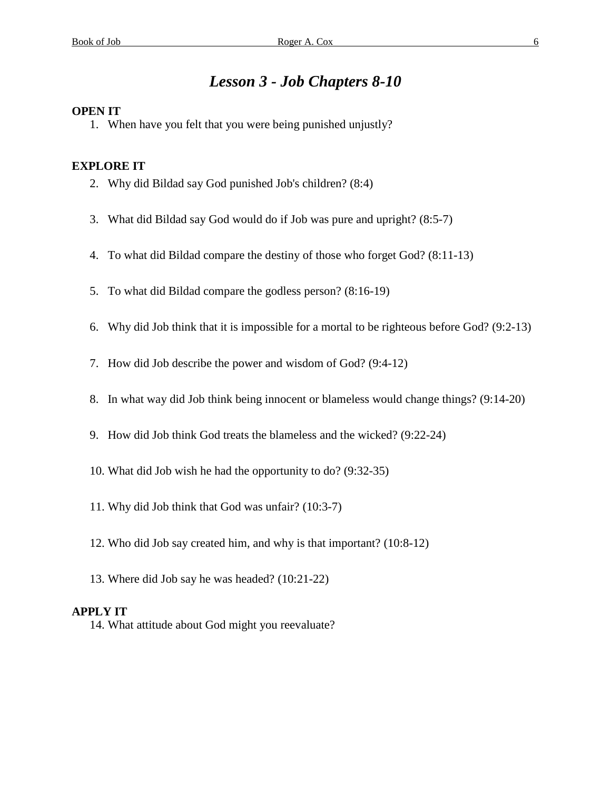# *Lesson 3 - Job Chapters 8-10*

## **OPEN IT**

1. When have you felt that you were being punished unjustly?

### **EXPLORE IT**

- 2. Why did Bildad say God punished Job's children? (8:4)
- 3. What did Bildad say God would do if Job was pure and upright? (8:5-7)
- 4. To what did Bildad compare the destiny of those who forget God? (8:11-13)
- 5. To what did Bildad compare the godless person? (8:16-19)
- 6. Why did Job think that it is impossible for a mortal to be righteous before God? (9:2-13)
- 7. How did Job describe the power and wisdom of God? (9:4-12)
- 8. In what way did Job think being innocent or blameless would change things? (9:14-20)
- 9. How did Job think God treats the blameless and the wicked? (9:22-24)
- 10. What did Job wish he had the opportunity to do? (9:32-35)
- 11. Why did Job think that God was unfair? (10:3-7)
- 12. Who did Job say created him, and why is that important? (10:8-12)
- 13. Where did Job say he was headed? (10:21-22)

#### **APPLY IT**

14. What attitude about God might you reevaluate?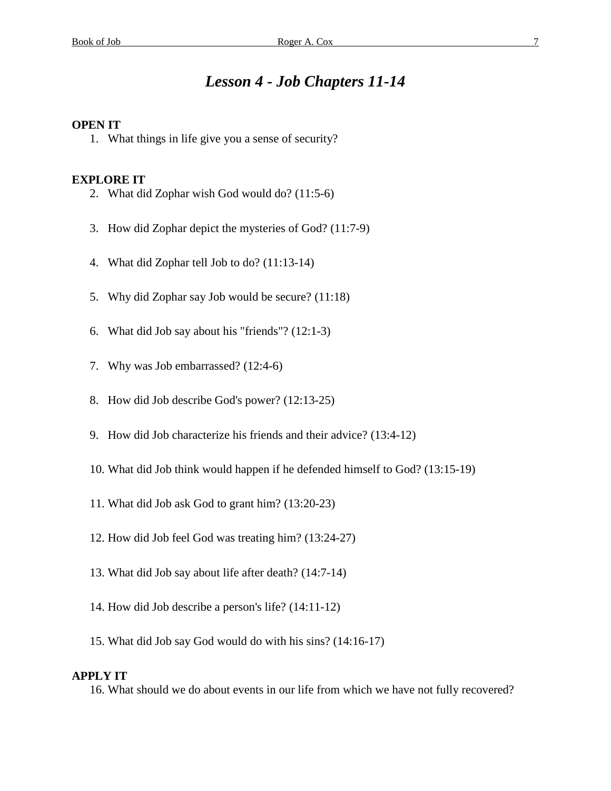# *Lesson 4 - Job Chapters 11-14*

#### **OPEN IT**

1. What things in life give you a sense of security?

#### **EXPLORE IT**

- 2. What did Zophar wish God would do? (11:5-6)
- 3. How did Zophar depict the mysteries of God? (11:7-9)
- 4. What did Zophar tell Job to do? (11:13-14)
- 5. Why did Zophar say Job would be secure? (11:18)
- 6. What did Job say about his "friends"? (12:1-3)
- 7. Why was Job embarrassed? (12:4-6)
- 8. How did Job describe God's power? (12:13-25)
- 9. How did Job characterize his friends and their advice? (13:4-12)
- 10. What did Job think would happen if he defended himself to God? (13:15-19)
- 11. What did Job ask God to grant him? (13:20-23)
- 12. How did Job feel God was treating him? (13:24-27)
- 13. What did Job say about life after death? (14:7-14)
- 14. How did Job describe a person's life? (14:11-12)
- 15. What did Job say God would do with his sins? (14:16-17)

#### **APPLY IT**

16. What should we do about events in our life from which we have not fully recovered?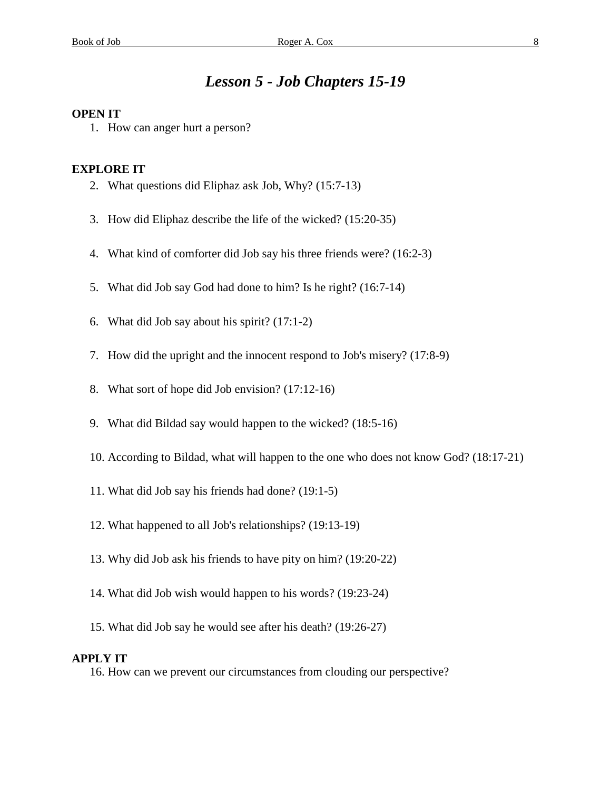# *Lesson 5 - Job Chapters 15-19*

#### **OPEN IT**

1. How can anger hurt a person?

#### **EXPLORE IT**

- 2. What questions did Eliphaz ask Job, Why? (15:7-13)
- 3. How did Eliphaz describe the life of the wicked? (15:20-35)
- 4. What kind of comforter did Job say his three friends were? (16:2-3)
- 5. What did Job say God had done to him? Is he right? (16:7-14)
- 6. What did Job say about his spirit? (17:1-2)
- 7. How did the upright and the innocent respond to Job's misery? (17:8-9)
- 8. What sort of hope did Job envision? (17:12-16)
- 9. What did Bildad say would happen to the wicked? (18:5-16)
- 10. According to Bildad, what will happen to the one who does not know God? (18:17-21)
- 11. What did Job say his friends had done? (19:1-5)
- 12. What happened to all Job's relationships? (19:13-19)
- 13. Why did Job ask his friends to have pity on him? (19:20-22)
- 14. What did Job wish would happen to his words? (19:23-24)
- 15. What did Job say he would see after his death? (19:26-27)

#### **APPLY IT**

16. How can we prevent our circumstances from clouding our perspective?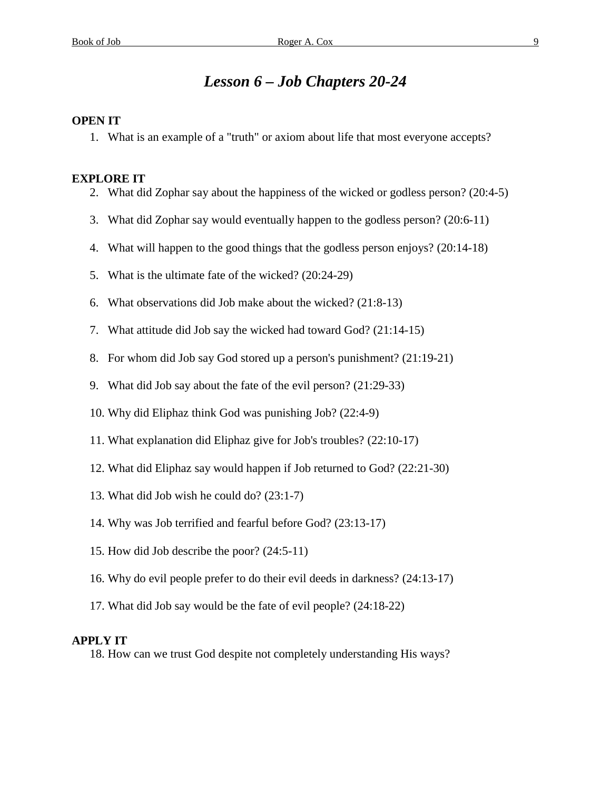# *Lesson 6 – Job Chapters 20-24*

### **OPEN IT**

1. What is an example of a "truth" or axiom about life that most everyone accepts?

#### **EXPLORE IT**

- 2. What did Zophar say about the happiness of the wicked or godless person? (20:4-5)
- 3. What did Zophar say would eventually happen to the godless person? (20:6-11)
- 4. What will happen to the good things that the godless person enjoys? (20:14-18)
- 5. What is the ultimate fate of the wicked? (20:24-29)
- 6. What observations did Job make about the wicked? (21:8-13)
- 7. What attitude did Job say the wicked had toward God? (21:14-15)
- 8. For whom did Job say God stored up a person's punishment? (21:19-21)
- 9. What did Job say about the fate of the evil person? (21:29-33)
- 10. Why did Eliphaz think God was punishing Job? (22:4-9)
- 11. What explanation did Eliphaz give for Job's troubles? (22:10-17)
- 12. What did Eliphaz say would happen if Job returned to God? (22:21-30)
- 13. What did Job wish he could do? (23:1-7)
- 14. Why was Job terrified and fearful before God? (23:13-17)
- 15. How did Job describe the poor? (24:5-11)
- 16. Why do evil people prefer to do their evil deeds in darkness? (24:13-17)
- 17. What did Job say would be the fate of evil people? (24:18-22)

### **APPLY IT**

18. How can we trust God despite not completely understanding His ways?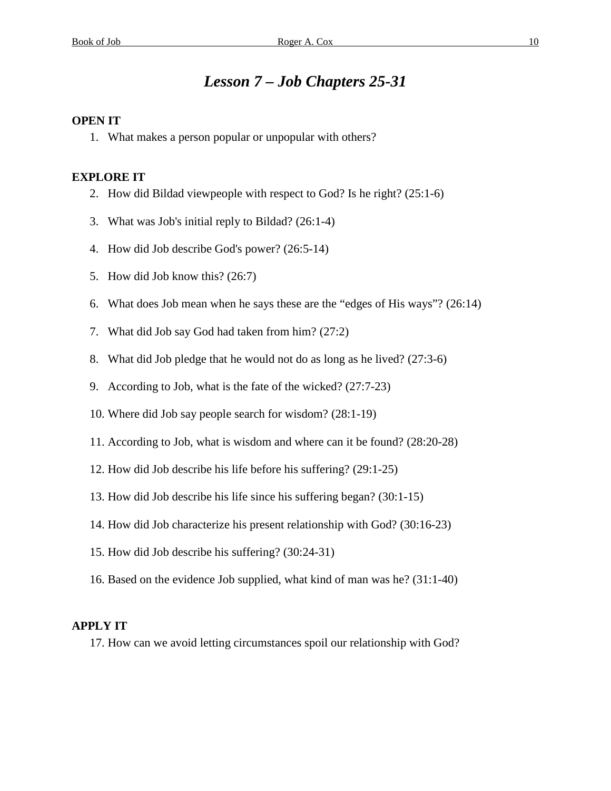# *Lesson 7 – Job Chapters 25-31*

### **OPEN IT**

1. What makes a person popular or unpopular with others?

#### **EXPLORE IT**

- 2. How did Bildad viewpeople with respect to God? Is he right? (25:1-6)
- 3. What was Job's initial reply to Bildad? (26:1-4)
- 4. How did Job describe God's power? (26:5-14)
- 5. How did Job know this? (26:7)
- 6. What does Job mean when he says these are the "edges of His ways"? (26:14)
- 7. What did Job say God had taken from him? (27:2)
- 8. What did Job pledge that he would not do as long as he lived? (27:3-6)
- 9. According to Job, what is the fate of the wicked? (27:7-23)
- 10. Where did Job say people search for wisdom? (28:1-19)
- 11. According to Job, what is wisdom and where can it be found? (28:20-28)
- 12. How did Job describe his life before his suffering? (29:1-25)
- 13. How did Job describe his life since his suffering began? (30:1-15)
- 14. How did Job characterize his present relationship with God? (30:16-23)
- 15. How did Job describe his suffering? (30:24-31)
- 16. Based on the evidence Job supplied, what kind of man was he? (31:1-40)

### **APPLY IT**

17. How can we avoid letting circumstances spoil our relationship with God?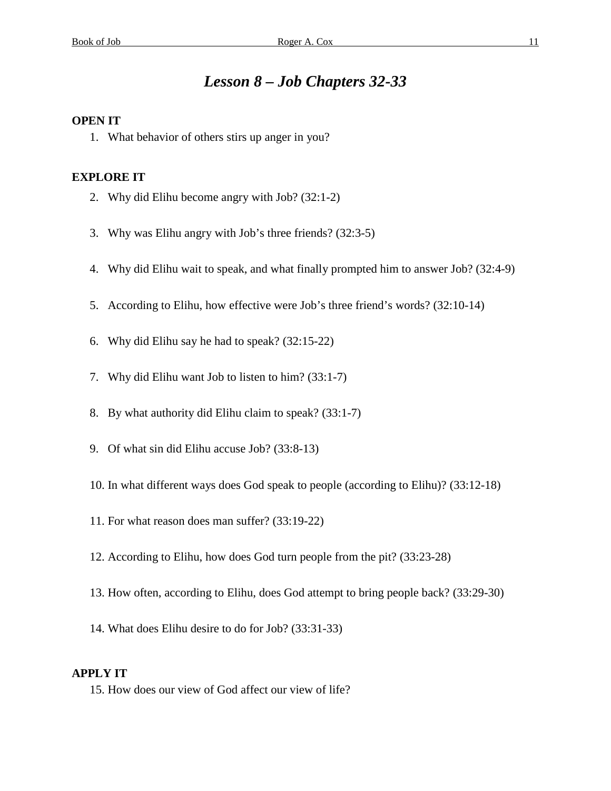# *Lesson 8 – Job Chapters 32-33*

### **OPEN IT**

1. What behavior of others stirs up anger in you?

### **EXPLORE IT**

- 2. Why did Elihu become angry with Job? (32:1-2)
- 3. Why was Elihu angry with Job's three friends? (32:3-5)
- 4. Why did Elihu wait to speak, and what finally prompted him to answer Job? (32:4-9)
- 5. According to Elihu, how effective were Job's three friend's words? (32:10-14)
- 6. Why did Elihu say he had to speak? (32:15-22)
- 7. Why did Elihu want Job to listen to him? (33:1-7)
- 8. By what authority did Elihu claim to speak? (33:1-7)
- 9. Of what sin did Elihu accuse Job? (33:8-13)
- 10. In what different ways does God speak to people (according to Elihu)? (33:12-18)
- 11. For what reason does man suffer? (33:19-22)
- 12. According to Elihu, how does God turn people from the pit? (33:23-28)
- 13. How often, according to Elihu, does God attempt to bring people back? (33:29-30)
- 14. What does Elihu desire to do for Job? (33:31-33)

### **APPLY IT**

15. How does our view of God affect our view of life?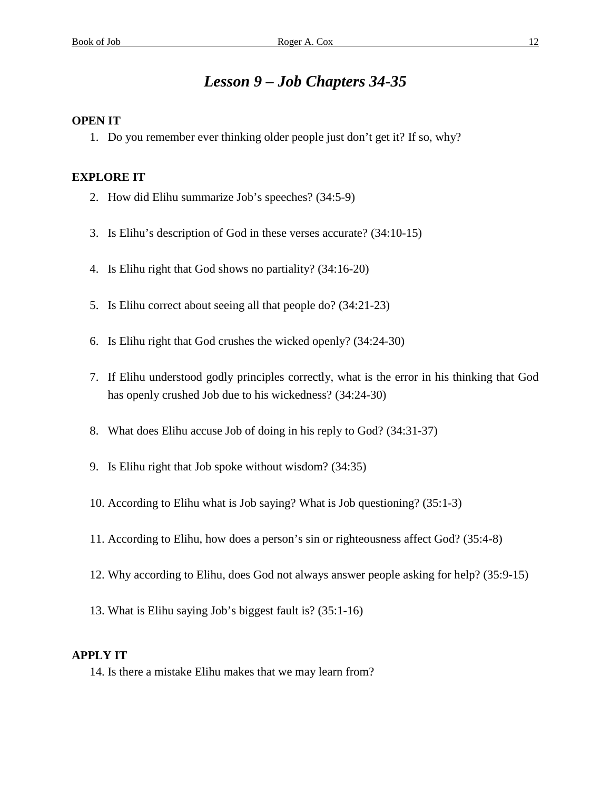# *Lesson 9 – Job Chapters 34-35*

### **OPEN IT**

1. Do you remember ever thinking older people just don't get it? If so, why?

#### **EXPLORE IT**

- 2. How did Elihu summarize Job's speeches? (34:5-9)
- 3. Is Elihu's description of God in these verses accurate? (34:10-15)
- 4. Is Elihu right that God shows no partiality? (34:16-20)
- 5. Is Elihu correct about seeing all that people do? (34:21-23)
- 6. Is Elihu right that God crushes the wicked openly? (34:24-30)
- 7. If Elihu understood godly principles correctly, what is the error in his thinking that God has openly crushed Job due to his wickedness? (34:24-30)
- 8. What does Elihu accuse Job of doing in his reply to God? (34:31-37)
- 9. Is Elihu right that Job spoke without wisdom? (34:35)
- 10. According to Elihu what is Job saying? What is Job questioning? (35:1-3)
- 11. According to Elihu, how does a person's sin or righteousness affect God? (35:4-8)
- 12. Why according to Elihu, does God not always answer people asking for help? (35:9-15)
- 13. What is Elihu saying Job's biggest fault is? (35:1-16)

### **APPLY IT**

14. Is there a mistake Elihu makes that we may learn from?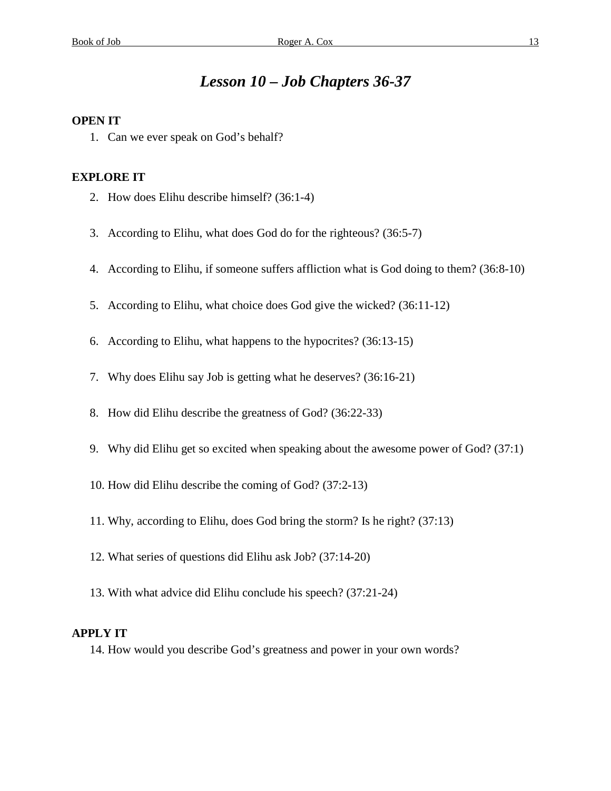# *Lesson 10 – Job Chapters 36-37*

### **OPEN IT**

1. Can we ever speak on God's behalf?

#### **EXPLORE IT**

- 2. How does Elihu describe himself? (36:1-4)
- 3. According to Elihu, what does God do for the righteous? (36:5-7)
- 4. According to Elihu, if someone suffers affliction what is God doing to them? (36:8-10)
- 5. According to Elihu, what choice does God give the wicked? (36:11-12)
- 6. According to Elihu, what happens to the hypocrites? (36:13-15)
- 7. Why does Elihu say Job is getting what he deserves? (36:16-21)
- 8. How did Elihu describe the greatness of God? (36:22-33)
- 9. Why did Elihu get so excited when speaking about the awesome power of God? (37:1)
- 10. How did Elihu describe the coming of God? (37:2-13)
- 11. Why, according to Elihu, does God bring the storm? Is he right? (37:13)
- 12. What series of questions did Elihu ask Job? (37:14-20)
- 13. With what advice did Elihu conclude his speech? (37:21-24)

### **APPLY IT**

14. How would you describe God's greatness and power in your own words?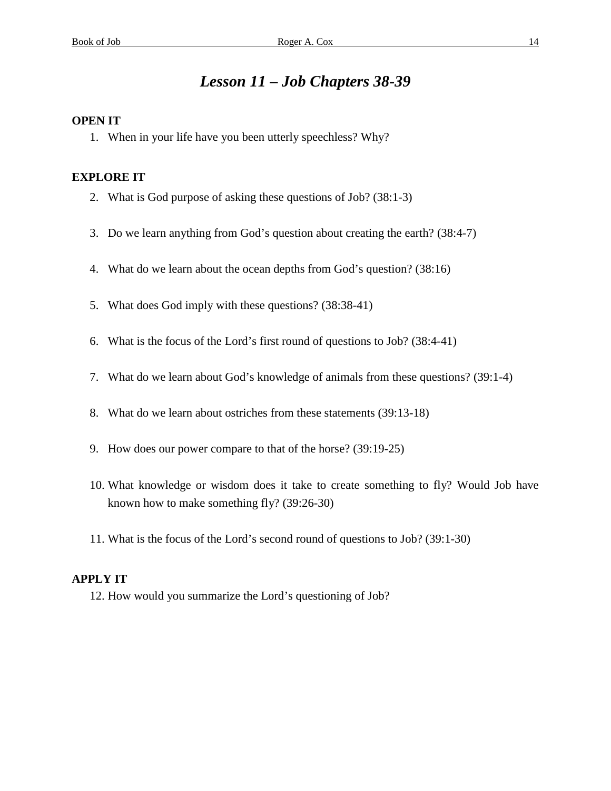# *Lesson 11 – Job Chapters 38-39*

### **OPEN IT**

1. When in your life have you been utterly speechless? Why?

### **EXPLORE IT**

- 2. What is God purpose of asking these questions of Job? (38:1-3)
- 3. Do we learn anything from God's question about creating the earth? (38:4-7)
- 4. What do we learn about the ocean depths from God's question? (38:16)
- 5. What does God imply with these questions? (38:38-41)
- 6. What is the focus of the Lord's first round of questions to Job? (38:4-41)
- 7. What do we learn about God's knowledge of animals from these questions? (39:1-4)
- 8. What do we learn about ostriches from these statements (39:13-18)
- 9. How does our power compare to that of the horse? (39:19-25)
- 10. What knowledge or wisdom does it take to create something to fly? Would Job have known how to make something fly? (39:26-30)
- 11. What is the focus of the Lord's second round of questions to Job? (39:1-30)

#### **APPLY IT**

12. How would you summarize the Lord's questioning of Job?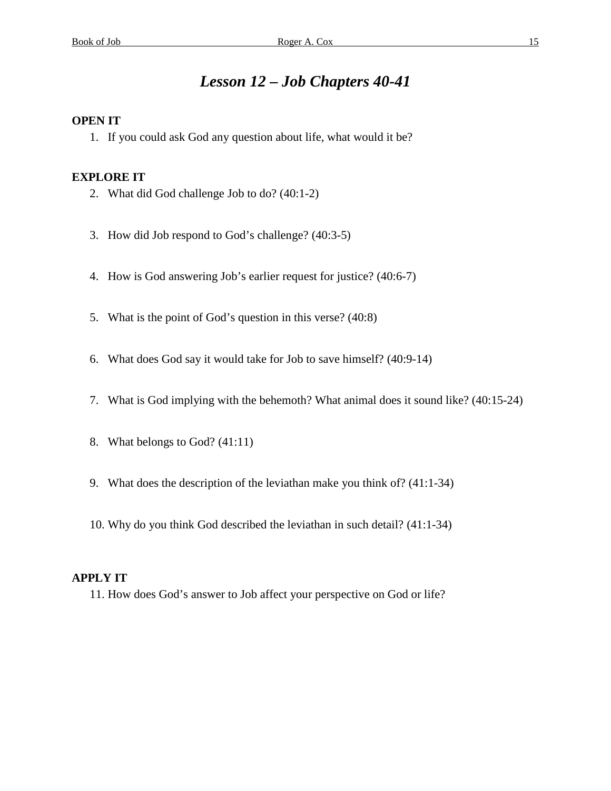# *Lesson 12 – Job Chapters 40-41*

### **OPEN IT**

1. If you could ask God any question about life, what would it be?

### **EXPLORE IT**

- 2. What did God challenge Job to do? (40:1-2)
- 3. How did Job respond to God's challenge? (40:3-5)
- 4. How is God answering Job's earlier request for justice? (40:6-7)
- 5. What is the point of God's question in this verse? (40:8)
- 6. What does God say it would take for Job to save himself? (40:9-14)
- 7. What is God implying with the behemoth? What animal does it sound like? (40:15-24)
- 8. What belongs to God? (41:11)
- 9. What does the description of the leviathan make you think of? (41:1-34)
- 10. Why do you think God described the leviathan in such detail? (41:1-34)

#### **APPLY IT**

11. How does God's answer to Job affect your perspective on God or life?